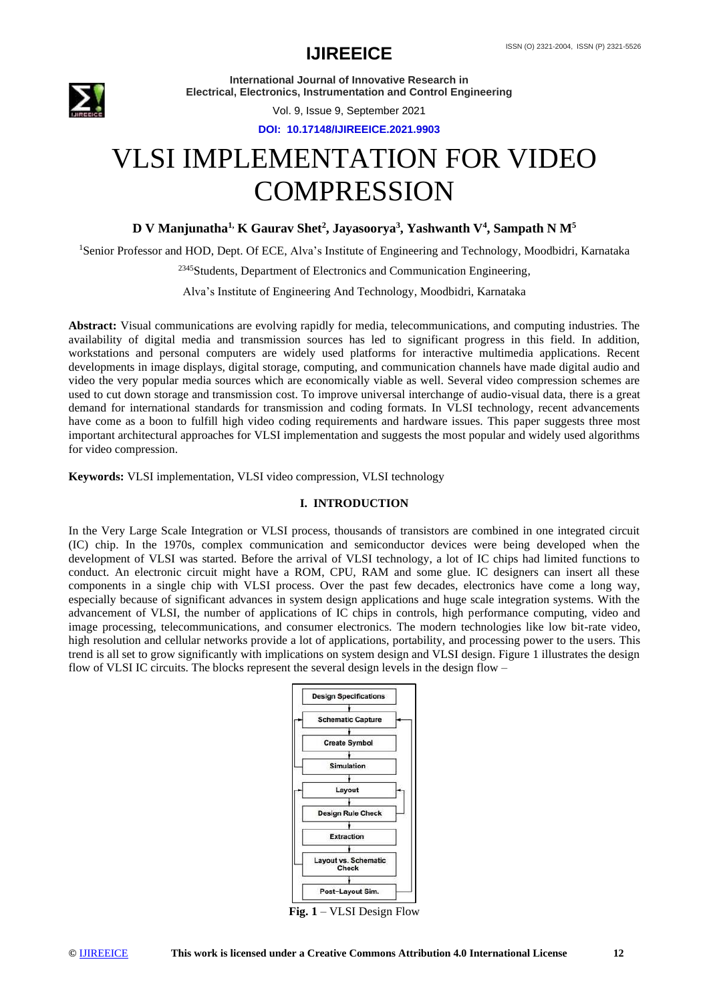

Vol. 9, Issue 9, September 2021

**DOI: 10.17148/IJIREEICE.2021.9903**

# VLSI IMPLEMENTATION FOR VIDEO **COMPRESSION**

**D V Manjunatha1, K Gaurav Shet<sup>2</sup> , Jayasoorya<sup>3</sup> , Yashwanth V<sup>4</sup> , Sampath N M<sup>5</sup>**

<sup>1</sup>Senior Professor and HOD, Dept. Of ECE, Alva's Institute of Engineering and Technology, Moodbidri, Karnataka

<sup>2345</sup>Students, Department of Electronics and Communication Engineering,

Alva's Institute of Engineering And Technology, Moodbidri, Karnataka

**Abstract:** Visual communications are evolving rapidly for media, telecommunications, and computing industries. The availability of digital media and transmission sources has led to significant progress in this field. In addition, workstations and personal computers are widely used platforms for interactive multimedia applications. Recent developments in image displays, digital storage, computing, and communication channels have made digital audio and video the very popular media sources which are economically viable as well. Several video compression schemes are used to cut down storage and transmission cost. To improve universal interchange of audio-visual data, there is a great demand for international standards for transmission and coding formats. In VLSI technology, recent advancements have come as a boon to fulfill high video coding requirements and hardware issues. This paper suggests three most important architectural approaches for VLSI implementation and suggests the most popular and widely used algorithms for video compression.

**Keywords:** VLSI implementation, VLSI video compression, VLSI technology

#### **I. INTRODUCTION**

In the Very Large Scale Integration or VLSI process, thousands of transistors are combined in one integrated circuit (IC) chip. In the 1970s, complex communication and semiconductor devices were being developed when the development of VLSI was started. Before the arrival of VLSI technology, a lot of IC chips had limited functions to conduct. An electronic circuit might have a ROM, CPU, RAM and some glue. IC designers can insert all these components in a single chip with VLSI process. Over the past few decades, electronics have come a long way, especially because of significant advances in system design applications and huge scale integration systems. With the advancement of VLSI, the number of applications of IC chips in controls, high performance computing, video and image processing, telecommunications, and consumer electronics. The modern technologies like low bit-rate video, high resolution and cellular networks provide a lot of applications, portability, and processing power to the users. This trend is all set to grow significantly with implications on system design and VLSI design. Figure 1 illustrates the design flow of VLSI IC circuits. The blocks represent the several design levels in the design flow –



**Fig. 1** – VLSI Design Flow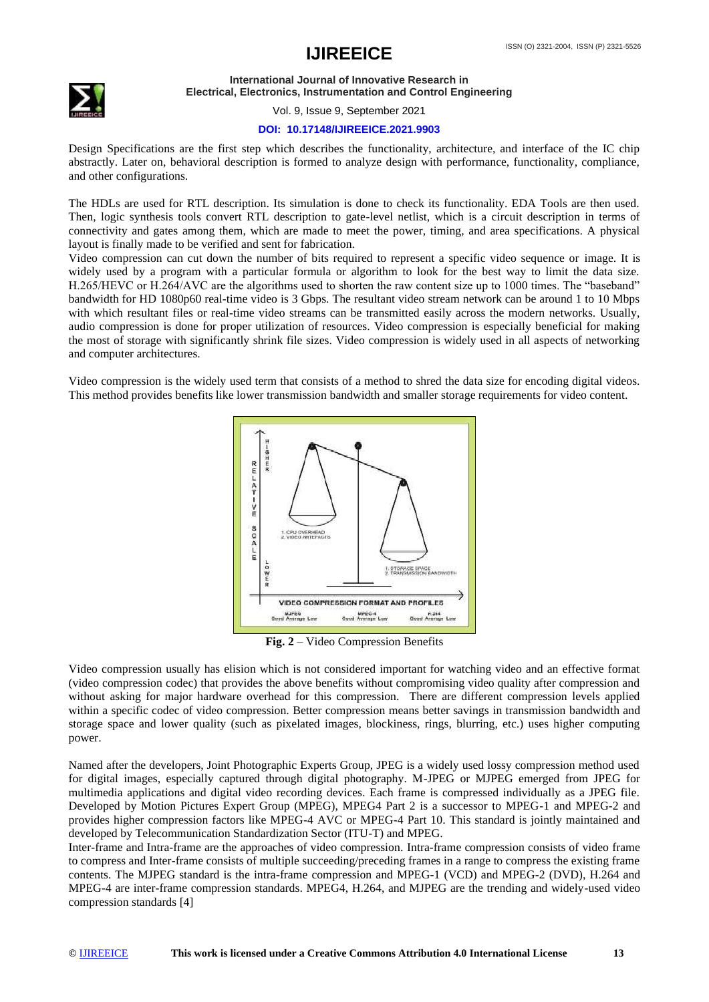## **IJIREEICE** ISSN (O) 2321-2004, ISSN (P) 2321-5526



**International Journal of Innovative Research in Electrical, Electronics, Instrumentation and Control Engineering**

Vol. 9, Issue 9, September 2021

### **DOI: 10.17148/IJIREEICE.2021.9903**

Design Specifications are the first step which describes the functionality, architecture, and interface of the IC chip abstractly. Later on, behavioral description is formed to analyze design with performance, functionality, compliance, and other configurations.

The HDLs are used for RTL description. Its simulation is done to check its functionality. EDA Tools are then used. Then, logic synthesis tools convert RTL description to gate-level netlist, which is a circuit description in terms of connectivity and gates among them, which are made to meet the power, timing, and area specifications. A physical layout is finally made to be verified and sent for fabrication.

Video compression can cut down the number of bits required to represent a specific video sequence or image. It is widely used by a program with a particular formula or algorithm to look for the best way to limit the data size. H.265/HEVC or H.264/AVC are the algorithms used to shorten the raw content size up to 1000 times. The "baseband" bandwidth for HD 1080p60 real-time video is 3 Gbps. The resultant video stream network can be around 1 to 10 Mbps with which resultant files or real-time video streams can be transmitted easily across the modern networks. Usually, audio compression is done for proper utilization of resources. Video compression is especially beneficial for making the most of storage with significantly shrink file sizes. Video compression is widely used in all aspects of networking and computer architectures.

Video compression is the widely used term that consists of a method to shred the data size for encoding digital videos. This method provides benefits like lower transmission bandwidth and smaller storage requirements for video content.



**Fig. 2** – Video Compression Benefits

Video compression usually has elision which is not considered important for watching video and an effective format (video compression codec) that provides the above benefits without compromising video quality after compression and without asking for major hardware overhead for this compression. There are different compression levels applied within a specific codec of video compression. Better compression means better savings in transmission bandwidth and storage space and lower quality (such as pixelated images, blockiness, rings, blurring, etc.) uses higher computing power.

Named after the developers, Joint Photographic Experts Group, JPEG is a widely used lossy compression method used for digital images, especially captured through digital photography. M-JPEG or MJPEG emerged from JPEG for multimedia applications and digital video recording devices. Each frame is compressed individually as a JPEG file. Developed by Motion Pictures Expert Group (MPEG), MPEG4 Part 2 is a successor to MPEG-1 and MPEG-2 and provides higher compression factors like MPEG-4 AVC or MPEG-4 Part 10. This standard is jointly maintained and developed by Telecommunication Standardization Sector (ITU-T) and MPEG.

Inter-frame and Intra-frame are the approaches of video compression. Intra-frame compression consists of video frame to compress and Inter-frame consists of multiple succeeding/preceding frames in a range to compress the existing frame contents. The MJPEG standard is the intra-frame compression and MPEG-1 (VCD) and MPEG-2 (DVD), H.264 and MPEG-4 are inter-frame compression standards. MPEG4, H.264, and MJPEG are the trending and widely-used video compression standards [4]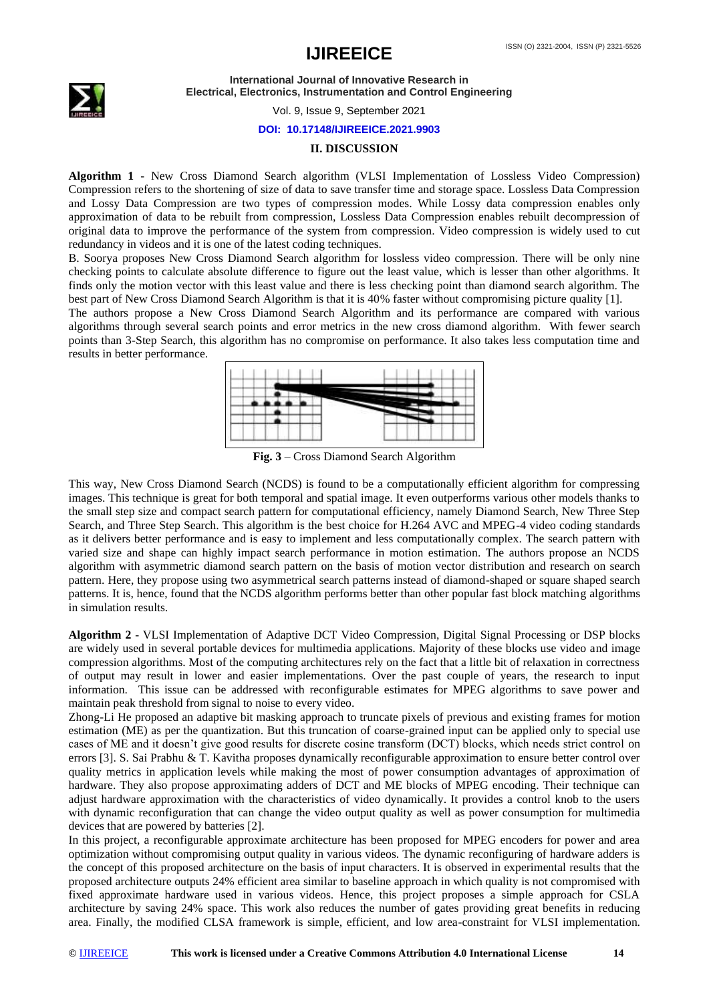## ISSN (O) 2321-2004, ISSN (P) 2321-5526 **IJIREEICE**



**International Journal of Innovative Research in Electrical, Electronics, Instrumentation and Control Engineering**

Vol. 9, Issue 9, September 2021

### **DOI: 10.17148/IJIREEICE.2021.9903**

#### **II. DISCUSSION**

**Algorithm 1** - New Cross Diamond Search algorithm (VLSI Implementation of Lossless Video Compression) Compression refers to the shortening of size of data to save transfer time and storage space. Lossless Data Compression and Lossy Data Compression are two types of compression modes. While Lossy data compression enables only approximation of data to be rebuilt from compression, Lossless Data Compression enables rebuilt decompression of original data to improve the performance of the system from compression. Video compression is widely used to cut redundancy in videos and it is one of the latest coding techniques.

B. Soorya proposes New Cross Diamond Search algorithm for lossless video compression. There will be only nine checking points to calculate absolute difference to figure out the least value, which is lesser than other algorithms. It finds only the motion vector with this least value and there is less checking point than diamond search algorithm. The best part of New Cross Diamond Search Algorithm is that it is 40% faster without compromising picture quality [1].

The authors propose a New Cross Diamond Search Algorithm and its performance are compared with various algorithms through several search points and error metrics in the new cross diamond algorithm. With fewer search points than 3-Step Search, this algorithm has no compromise on performance. It also takes less computation time and results in better performance.



**Fig. 3** – Cross Diamond Search Algorithm

This way, New Cross Diamond Search (NCDS) is found to be a computationally efficient algorithm for compressing images. This technique is great for both temporal and spatial image. It even outperforms various other models thanks to the small step size and compact search pattern for computational efficiency, namely Diamond Search, New Three Step Search, and Three Step Search. This algorithm is the best choice for H.264 AVC and MPEG-4 video coding standards as it delivers better performance and is easy to implement and less computationally complex. The search pattern with varied size and shape can highly impact search performance in motion estimation. The authors propose an NCDS algorithm with asymmetric diamond search pattern on the basis of motion vector distribution and research on search pattern. Here, they propose using two asymmetrical search patterns instead of diamond-shaped or square shaped search patterns. It is, hence, found that the NCDS algorithm performs better than other popular fast block matching algorithms in simulation results.

**Algorithm 2** - VLSI Implementation of Adaptive DCT Video Compression, Digital Signal Processing or DSP blocks are widely used in several portable devices for multimedia applications. Majority of these blocks use video and image compression algorithms. Most of the computing architectures rely on the fact that a little bit of relaxation in correctness of output may result in lower and easier implementations. Over the past couple of years, the research to input information. This issue can be addressed with reconfigurable estimates for MPEG algorithms to save power and maintain peak threshold from signal to noise to every video.

Zhong-Li He proposed an adaptive bit masking approach to truncate pixels of previous and existing frames for motion estimation (ME) as per the quantization. But this truncation of coarse-grained input can be applied only to special use cases of ME and it doesn't give good results for discrete cosine transform (DCT) blocks, which needs strict control on errors [3]. S. Sai Prabhu & T. Kavitha proposes dynamically reconfigurable approximation to ensure better control over quality metrics in application levels while making the most of power consumption advantages of approximation of hardware. They also propose approximating adders of DCT and ME blocks of MPEG encoding. Their technique can adjust hardware approximation with the characteristics of video dynamically. It provides a control knob to the users with dynamic reconfiguration that can change the video output quality as well as power consumption for multimedia devices that are powered by batteries [2].

In this project, a reconfigurable approximate architecture has been proposed for MPEG encoders for power and area optimization without compromising output quality in various videos. The dynamic reconfiguring of hardware adders is the concept of this proposed architecture on the basis of input characters. It is observed in experimental results that the proposed architecture outputs 24% efficient area similar to baseline approach in which quality is not compromised with fixed approximate hardware used in various videos. Hence, this project proposes a simple approach for CSLA architecture by saving 24% space. This work also reduces the number of gates providing great benefits in reducing area. Finally, the modified CLSA framework is simple, efficient, and low area-constraint for VLSI implementation.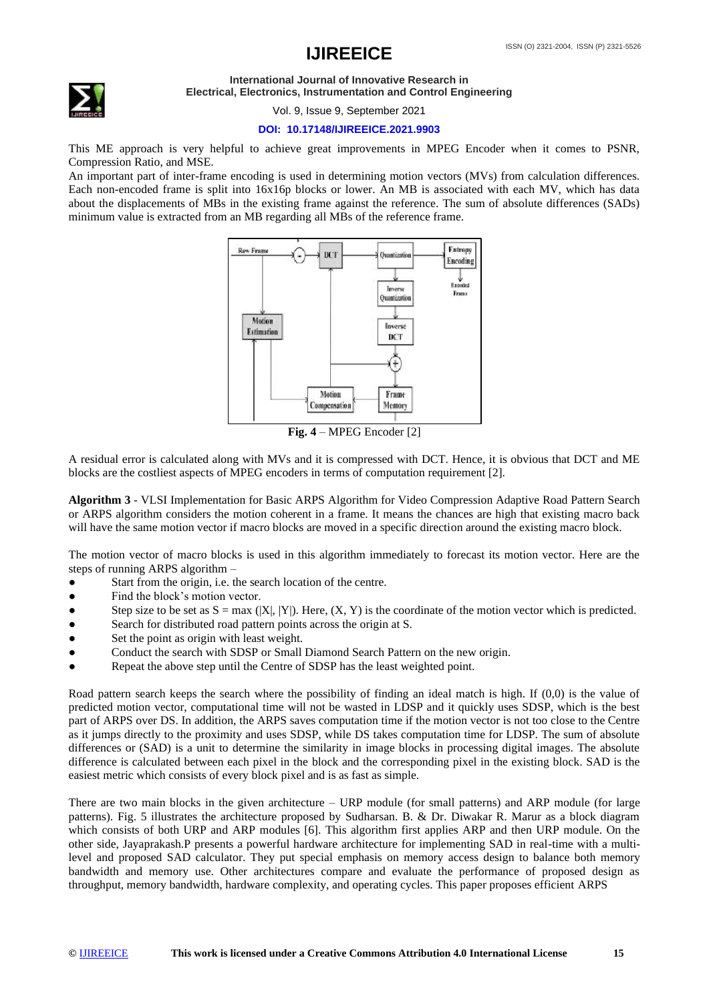

Vol. 9, Issue 9, September 2021

### **DOI: 10.17148/IJIREEICE.2021.9903**

This ME approach is very helpful to achieve great improvements in MPEG Encoder when it comes to PSNR, Compression Ratio, and MSE.

An important part of inter-frame encoding is used in determining motion vectors (MVs) from calculation differences. Each non-encoded frame is split into 16x16p blocks or lower. An MB is associated with each MV, which has data about the displacements of MBs in the existing frame against the reference. The sum of absolute differences (SADs) minimum value is extracted from an MB regarding all MBs of the reference frame.



**Fig. 4** – MPEG Encoder [2]

A residual error is calculated along with MVs and it is compressed with DCT. Hence, it is obvious that DCT and ME blocks are the costliest aspects of MPEG encoders in terms of computation requirement [2].

**Algorithm 3** - VLSI Implementation for Basic ARPS Algorithm for Video Compression Adaptive Road Pattern Search or ARPS algorithm considers the motion coherent in a frame. It means the chances are high that existing macro back will have the same motion vector if macro blocks are moved in a specific direction around the existing macro block.

The motion vector of macro blocks is used in this algorithm immediately to forecast its motion vector. Here are the steps of running ARPS algorithm –

- Start from the origin, i.e. the search location of the centre.
- Find the block's motion vector.
- Step size to be set as  $S = max (|X|, |Y|)$ . Here,  $(X, Y)$  is the coordinate of the motion vector which is predicted.
- Search for distributed road pattern points across the origin at S.
- Set the point as origin with least weight.
- Conduct the search with SDSP or Small Diamond Search Pattern on the new origin.
- Repeat the above step until the Centre of SDSP has the least weighted point.

Road pattern search keeps the search where the possibility of finding an ideal match is high. If (0,0) is the value of predicted motion vector, computational time will not be wasted in LDSP and it quickly uses SDSP, which is the best part of ARPS over DS. In addition, the ARPS saves computation time if the motion vector is not too close to the Centre as it jumps directly to the proximity and uses SDSP, while DS takes computation time for LDSP. The sum of absolute differences or (SAD) is a unit to determine the similarity in image blocks in processing digital images. The absolute difference is calculated between each pixel in the block and the corresponding pixel in the existing block. SAD is the easiest metric which consists of every block pixel and is as fast as simple.

There are two main blocks in the given architecture – URP module (for small patterns) and ARP module (for large patterns). Fig. 5 illustrates the architecture proposed by Sudharsan. B. & Dr. Diwakar R. Marur as a block diagram which consists of both URP and ARP modules [6]. This algorithm first applies ARP and then URP module. On the other side, Jayaprakash.P presents a powerful hardware architecture for implementing SAD in real-time with a multilevel and proposed SAD calculator. They put special emphasis on memory access design to balance both memory bandwidth and memory use. Other architectures compare and evaluate the performance of proposed design as throughput, memory bandwidth, hardware complexity, and operating cycles. This paper proposes efficient ARPS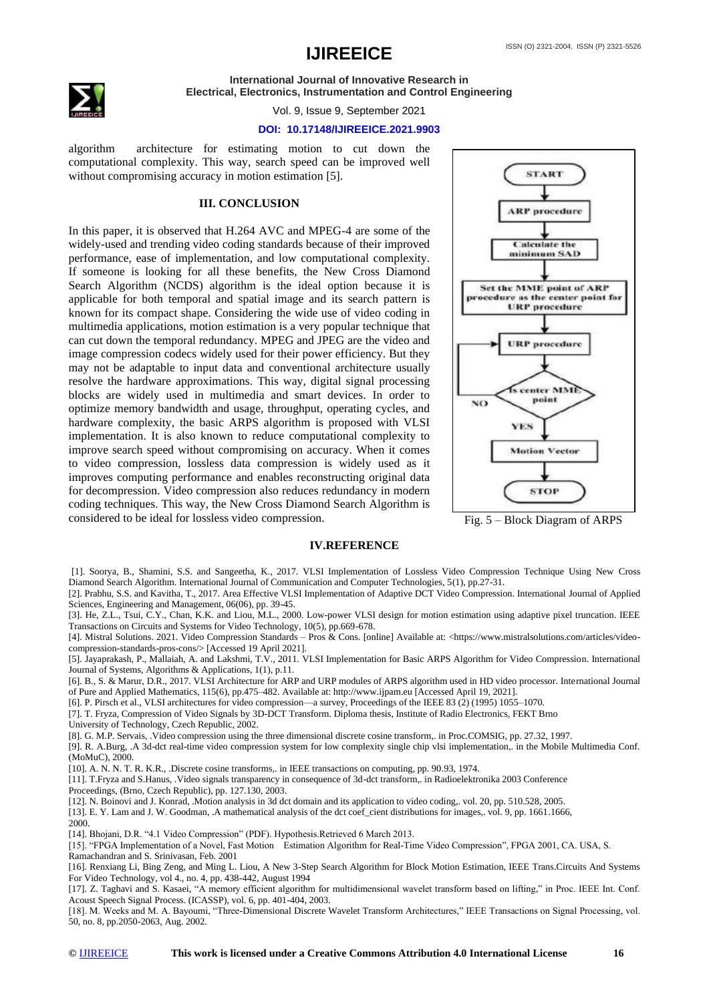

Vol. 9, Issue 9, September 2021

#### **DOI: 10.17148/IJIREEICE.2021.9903**

algorithm architecture for estimating motion to cut down the computational complexity. This way, search speed can be improved well without compromising accuracy in motion estimation [5].

#### **III. CONCLUSION**

In this paper, it is observed that H.264 AVC and MPEG-4 are some of the widely-used and trending video coding standards because of their improved performance, ease of implementation, and low computational complexity. If someone is looking for all these benefits, the New Cross Diamond Search Algorithm (NCDS) algorithm is the ideal option because it is applicable for both temporal and spatial image and its search pattern is known for its compact shape. Considering the wide use of video coding in multimedia applications, motion estimation is a very popular technique that can cut down the temporal redundancy. MPEG and JPEG are the video and image compression codecs widely used for their power efficiency. But they may not be adaptable to input data and conventional architecture usually resolve the hardware approximations. This way, digital signal processing blocks are widely used in multimedia and smart devices. In order to optimize memory bandwidth and usage, throughput, operating cycles, and hardware complexity, the basic ARPS algorithm is proposed with VLSI implementation. It is also known to reduce computational complexity to improve search speed without compromising on accuracy. When it comes to video compression, lossless data compression is widely used as it improves computing performance and enables reconstructing original data for decompression. Video compression also reduces redundancy in modern coding techniques. This way, the New Cross Diamond Search Algorithm is considered to be ideal for lossless video compression.



Fig. 5 – Block Diagram of ARPS

#### **IV.REFERENCE**

- [1]. Soorya, B., Shamini, S.S. and Sangeetha, K., 2017. VLSI Implementation of Lossless Video Compression Technique Using New Cross Diamond Search Algorithm. International Journal of Communication and Computer Technologies, 5(1), pp.27-31.
- [2]. Prabhu, S.S. and Kavitha, T., 2017. Area Effective VLSI Implementation of Adaptive DCT Video Compression. International Journal of Applied Sciences, Engineering and Management, 06(06), pp. 39-45.
- [3]. He, Z.L., Tsui, C.Y., Chan, K.K. and Liou, M.L., 2000. Low-power VLSI design for motion estimation using adaptive pixel truncation. IEEE Transactions on Circuits and Systems for Video Technology, 10(5), pp.669-678.
- [4]. Mistral Solutions. 2021. Video Compression Standards Pros & Cons. [online] Available at: <https://www.mistralsolutions.com/articles/videocompression-standards-pros-cons/> [Accessed 19 April 2021].
- [5]. Jayaprakash, P., Mallaiah, A. and Lakshmi, T.V., 2011. VLSI Implementation for Basic ARPS Algorithm for Video Compression. International Journal of Systems, Algorithms & Applications, 1(1), p.11.

[6]. B., S. & Marur, D.R., 2017. VLSI Architecture for ARP and URP modules of ARPS algorithm used in HD video processor. International Journal of Pure and Applied Mathematics, 115(6), pp.475–482. Available at: http://www.ijpam.eu [Accessed April 19, 2021].

[6]. P. Pirsch et al., VLSI architectures for video compression––a survey, Proceedings of the IEEE 83 (2) (1995) 1055–1070.

[7]. T. Fryza, Compression of Video Signals by 3D-DCT Transform. Diploma thesis, Institute of Radio Electronics, FEKT Brno University of Technology, Czech Republic, 2002.

[8]. G. M.P. Servais, .Video compression using the three dimensional discrete cosine transform,. in Proc.COMSIG, pp. 27.32, 1997.

[9]. R. A.Burg, .A 3d-dct real-time video compression system for low complexity single chip vlsi implementation,. in the Mobile Multimedia Conf. (MoMuC), 2000.

[10]. A. N. N. T. R. K.R., .Discrete cosine transforms,. in IEEE transactions on computing, pp. 90.93, 1974.

[11]. T.Fryza and S.Hanus, .Video signals transparency in consequence of 3d-dct transform,. in Radioelektronika 2003 Conference Proceedings, (Brno, Czech Republic), pp. 127.130, 2003.

[12]. N. Boinovi and J. Konrad, .Motion analysis in 3d dct domain and its application to video coding,. vol. 20, pp. 510.528, 2005.

[13]. E. Y. Lam and J. W. Goodman, .A mathematical analysis of the dct coef\_cient distributions for images,. vol. 9, pp. 1661.1666,

2000.

[14]. Bhojani, D.R. "4.1 Video Compression" (PDF). Hypothesis.Retrieved 6 March 2013.

[15]. "FPGA Implementation of a Novel, Fast Motion Estimation Algorithm for Real-Time Video Compression", FPGA 2001, CA. USA, S. Ramachandran and S. Srinivasan, Feb. 2001

[16]. Renxiang Li, Bing Zeng, and Ming L. Liou, A New 3-Step Search Algorithm for Block Motion Estimation, IEEE Trans.Circuits And Systems For Video Technology, vol 4., no. 4, pp. 438-442, August 1994

[17]. Z. Taghavi and S. Kasaei, "A memory efficient algorithm for multidimensional wavelet transform based on lifting," in Proc. IEEE Int. Conf. Acoust Speech Signal Process. (ICASSP), vol. 6, pp. 401-404, 2003.

[18]. M. Weeks and M. A. Bayoumi, "Three-Dimensional Discrete Wavelet Transform Architectures," IEEE Transactions on Signal Processing, vol. 50, no. 8, pp.2050-2063, Aug. 2002.